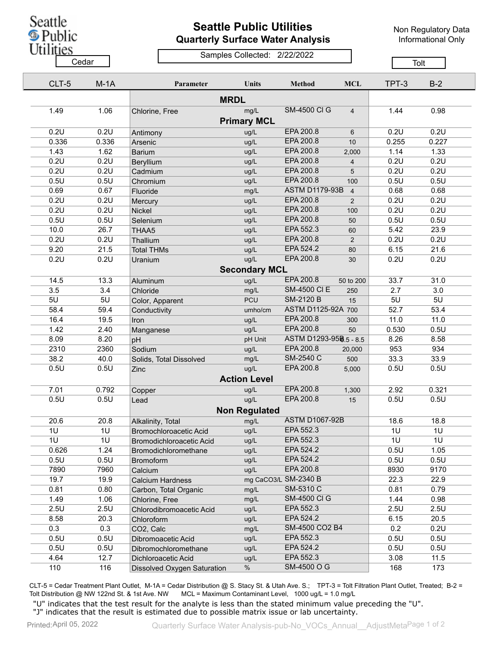Seattle Public

## **Seattle Public Utilities Quarterly Surface Water Analysis**

Non Regulatory Data Informational Only

Utilities

## Samples Collected: 2/22/2022 <u>Cedar Cedar Cedar Cedar Cedar Cedar Cedar Cedar Cedar Cedar Cedar Cedar Cedar Cedar Cedar Cedar Cedar Cedar Ce</u>

|             | CLT-5                | $M-1A$ | Parameter                          | Units                | Method                 | <b>MCL</b>     | TPT-3 | $B-2$ |  |  |  |
|-------------|----------------------|--------|------------------------------------|----------------------|------------------------|----------------|-------|-------|--|--|--|
| <b>MRDL</b> |                      |        |                                    |                      |                        |                |       |       |  |  |  |
|             | 1.49                 | 1.06   | Chlorine, Free                     | mg/L                 | <b>SM-4500 CI G</b>    | $\overline{4}$ | 1.44  | 0.98  |  |  |  |
|             |                      |        |                                    | <b>Primary MCL</b>   |                        |                |       |       |  |  |  |
|             | 0.2U                 | 0.2U   | Antimony                           | ug/L                 | EPA 200.8              | $6\phantom{1}$ | 0.2U  | 0.2U  |  |  |  |
|             | 0.336                | 0.336  | Arsenic                            | ug/L                 | EPA 200.8              | 10             | 0.255 | 0.227 |  |  |  |
|             | 1.43                 | 1.62   | <b>Barium</b>                      | ug/L                 | EPA 200.8              | 2,000          | 1.14  | 1.33  |  |  |  |
|             | 0.2U                 | 0.2U   | Beryllium                          | ug/L                 | EPA 200.8              | $\overline{4}$ | 0.2U  | 0.2U  |  |  |  |
|             | 0.2U                 | 0.2U   | Cadmium                            | ug/L                 | EPA 200.8              | 5              | 0.2U  | 0.2U  |  |  |  |
|             | 0.5U                 | 0.5U   | Chromium                           | ug/L                 | EPA 200.8              | 100            | 0.5U  | 0.5U  |  |  |  |
|             | 0.69                 | 0.67   | Fluoride                           | mg/L                 | <b>ASTM D1179-93B</b>  | $\overline{4}$ | 0.68  | 0.68  |  |  |  |
|             | 0.2U                 | 0.2U   | Mercury                            | ug/L                 | EPA 200.8              | $\overline{2}$ | 0.2U  | 0.2U  |  |  |  |
|             | 0.2U                 | 0.2U   | Nickel                             | ug/L                 | EPA 200.8              | 100            | 0.2U  | 0.2U  |  |  |  |
|             | 0.5U                 | 0.5U   | Selenium                           | ug/L                 | EPA 200.8              | 50             | 0.5U  | 0.5U  |  |  |  |
|             | 10.0                 | 26.7   | THAA5                              | ug/L                 | EPA 552.3              | 60             | 5.42  | 23.9  |  |  |  |
|             | 0.2U                 | 0.2U   | Thallium                           | ug/L                 | EPA 200.8              | 2              | 0.2U  | 0.2U  |  |  |  |
|             | 9.20                 | 21.5   | <b>Total THMs</b>                  | ug/L                 | EPA 524.2              | 80             | 6.15  | 21.6  |  |  |  |
|             | 0.2U                 | 0.2U   | Uranium                            | ug/L                 | EPA 200.8              | 30             | 0.2U  | 0.2U  |  |  |  |
|             | <b>Secondary MCL</b> |        |                                    |                      |                        |                |       |       |  |  |  |
|             | 14.5                 | 13.3   | Aluminum                           | ug/L                 | EPA 200.8              | 50 to 200      | 33.7  | 31.0  |  |  |  |
|             | 3.5                  | 3.4    | Chloride                           | mg/L                 | <b>SM-4500 CI E</b>    | 250            | 2.7   | 3.0   |  |  |  |
|             | 5U                   | 5U     | Color, Apparent                    | <b>PCU</b>           | <b>SM-2120 B</b>       | 15             | 5U    | 5U    |  |  |  |
|             | 58.4                 | 59.4   | Conductivity                       | umho/cm              | ASTM D1125-92A 700     |                | 52.7  | 53.4  |  |  |  |
|             | 16.4                 | 19.5   | Iron                               | ug/L                 | EPA 200.8              | 300            | 11.0  | 11.0  |  |  |  |
|             | 1.42                 | 2.40   | Manganese                          | ug/L                 | EPA 200.8              | 50             | 0.530 | 0.5U  |  |  |  |
|             | 8.09                 | 8.20   | pH                                 | pH Unit              | ASTM D1293-958.5 - 8.5 |                | 8.26  | 8.58  |  |  |  |
|             | 2310                 | 2360   | Sodium                             | ug/L                 | EPA 200.8              | 20,000         | 953   | 934   |  |  |  |
|             | 38.2                 | 40.0   | Solids, Total Dissolved            | mg/L                 | SM-2540 C              | 500            | 33.3  | 33.9  |  |  |  |
|             | 0.5U                 | 0.5U   | Zinc                               | ug/L                 | EPA 200.8              | 5,000          | 0.5U  | 0.5U  |  |  |  |
|             |                      |        |                                    | <b>Action Level</b>  |                        |                |       |       |  |  |  |
|             | 7.01                 | 0.792  | Copper                             | ug/L                 | EPA 200.8              | 1,300          | 2.92  | 0.321 |  |  |  |
|             | 0.5U                 | 0.5U   | Lead                               | ug/L                 | EPA 200.8              | 15             | 0.5U  | 0.5U  |  |  |  |
|             |                      |        |                                    | <b>Non Regulated</b> |                        |                |       |       |  |  |  |
|             | 20.6                 | 20.8   | Alkalinity, Total                  | mg/L                 | <b>ASTM D1067-92B</b>  |                | 18.6  | 18.8  |  |  |  |
|             | 1U                   | 1U     | <b>Bromochloroacetic Acid</b>      | ug/L                 | EPA 552.3              |                | 1U    | 1U    |  |  |  |
|             | 1U                   | 1U     | Bromodichloroacetic Acid           | ug/L                 | EPA 552.3              |                | 1U    | 1U    |  |  |  |
|             | 0.626                | 1.24   | Bromodichloromethane               | ug/L                 | EPA 524.2              |                | 0.5U  | 1.05  |  |  |  |
|             | 0.5U                 | 0.5U   | <b>Bromoform</b>                   | ug/L                 | EPA 524.2              |                | 0.5U  | 0.5U  |  |  |  |
|             | 7890                 | 7960   | Calcium                            | ug/L                 | EPA 200.8              |                | 8930  | 9170  |  |  |  |
|             | 19.7                 | 19.9   | <b>Calcium Hardness</b>            |                      | mg CaCO3/L SM-2340 B   |                | 22.3  | 22.9  |  |  |  |
|             | 0.81                 | 0.80   | Carbon, Total Organic              | mg/L                 | SM-5310 C              |                | 0.81  | 0.79  |  |  |  |
|             | 1.49                 | 1.06   | Chlorine, Free                     | mg/L                 | <b>SM-4500 CI G</b>    |                | 1.44  | 0.98  |  |  |  |
|             | 2.5U                 | 2.5U   | Chlorodibromoacetic Acid           | ug/L                 | EPA 552.3              |                | 2.5U  | 2.5U  |  |  |  |
|             | 8.58                 | 20.3   | Chloroform                         | ug/L                 | EPA 524.2              |                | 6.15  | 20.5  |  |  |  |
|             | 0.3                  | 0.3    | CO2, Calc                          | mg/L                 | SM-4500 CO2 B4         |                | 0.2   | 0.2U  |  |  |  |
|             | 0.5U                 | 0.5U   | Dibromoacetic Acid                 | ug/L                 | EPA 552.3              |                | 0.5U  | 0.5U  |  |  |  |
|             | 0.5U                 | 0.5U   | Dibromochloromethane               | ug/L                 | EPA 524.2              |                | 0.5U  | 0.5U  |  |  |  |
|             | 4.64                 | 12.7   | Dichloroacetic Acid                | ug/L                 | EPA 552.3              |                | 3.08  | 11.5  |  |  |  |
|             | 110                  | 116    | <b>Dissolved Oxygen Saturation</b> | $\%$                 | SM-4500 O G            |                | 168   | 173   |  |  |  |
|             |                      |        |                                    |                      |                        |                |       |       |  |  |  |

CLT-5 = Cedar Treatment Plant Outlet, M-1A = Cedar Distribution @ S. Stacy St. & Utah Ave. S.; TPT-3 = Tolt Filtration Plant Outlet, Treated; B-2 = Tolt Distribution @ NW 122nd St. & 1st Ave. NW MCL = Maximum Contaminant Level, 1000 ug/L = 1.0 mg/L

"U" indicates that the test result for the analyte is less than the stated minimum value preceding the "U". "J" indicates that the result is estimated due to possible matrix issue or lab uncertainty.